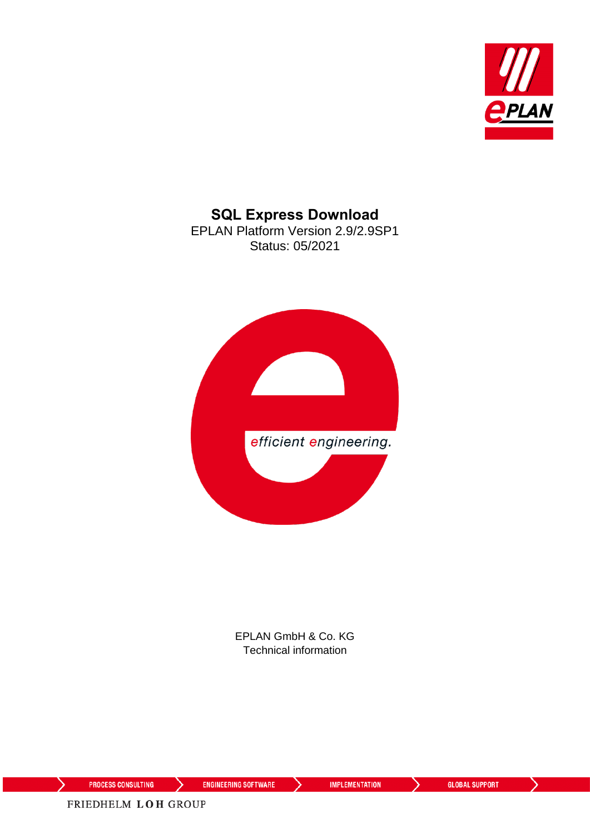

**SQL Express Download** EPLAN Platform Version 2.9/2.9SP1 Status: 05/2021



EPLAN GmbH & Co. KG Technical information

⋋

ゝ

**ENGINEERING SOFTWARE** 

**IMPLEMENTATION** 

⟩

⋋

FRIEDHELM LOH GROUP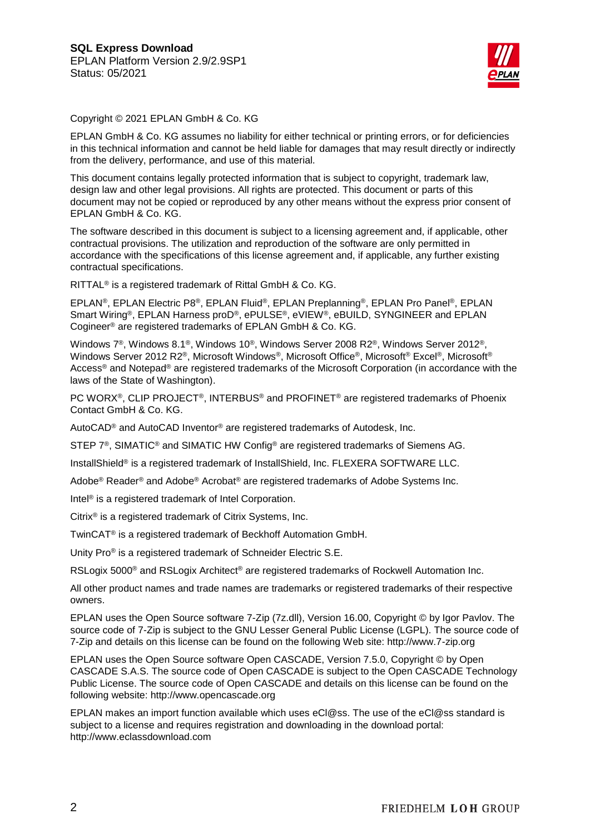

Copyright © 2021 EPLAN GmbH & Co. KG

EPLAN GmbH & Co. KG assumes no liability for either technical or printing errors, or for deficiencies in this technical information and cannot be held liable for damages that may result directly or indirectly from the delivery, performance, and use of this material.

This document contains legally protected information that is subject to copyright, trademark law, design law and other legal provisions. All rights are protected. This document or parts of this document may not be copied or reproduced by any other means without the express prior consent of EPLAN GmbH & Co. KG.

The software described in this document is subject to a licensing agreement and, if applicable, other contractual provisions. The utilization and reproduction of the software are only permitted in accordance with the specifications of this license agreement and, if applicable, any further existing contractual specifications.

RITTAL® is a registered trademark of Rittal GmbH & Co. KG.

EPLAN®, EPLAN Electric P8®, EPLAN Fluid®, EPLAN Preplanning®, EPLAN Pro Panel®, EPLAN Smart Wiring®, EPLAN Harness proD®, ePULSE®, eVIEW®, eBUILD, SYNGINEER and EPLAN Cogineer® are registered trademarks of EPLAN GmbH & Co. KG.

Windows 7®, Windows 8.1®, Windows 10®, Windows Server 2008 R2®, Windows Server 2012®, Windows Server 2012 R2®, Microsoft Windows®, Microsoft Office®, Microsoft® Excel®, Microsoft® Access<sup>®</sup> and Notepad<sup>®</sup> are registered trademarks of the Microsoft Corporation (in accordance with the laws of the State of Washington).

PC WORX®, CLIP PROJECT®, INTERBUS® and PROFINET® are registered trademarks of Phoenix Contact GmbH & Co. KG.

AutoCAD® and AutoCAD Inventor® are registered trademarks of Autodesk, Inc.

STEP 7<sup>®</sup>, SIMATIC<sup>®</sup> and SIMATIC HW Config<sup>®</sup> are registered trademarks of Siemens AG.

InstallShield<sup>®</sup> is a registered trademark of InstallShield, Inc. FLEXERA SOFTWARE LLC.

Adobe® Reader® and Adobe® Acrobat® are registered trademarks of Adobe Systems Inc.

Intel® is a registered trademark of Intel Corporation.

Citrix® is a registered trademark of Citrix Systems, Inc.

TwinCAT® is a registered trademark of Beckhoff Automation GmbH.

Unity Pro® is a registered trademark of Schneider Electric S.E.

RSLogix 5000<sup>®</sup> and RSLogix Architect<sup>®</sup> are registered trademarks of Rockwell Automation Inc.

All other product names and trade names are trademarks or registered trademarks of their respective owners.

EPLAN uses the Open Source software 7-Zip (7z.dll), Version 16.00, Copyright © by Igor Pavlov. The source code of 7-Zip is subject to the GNU Lesser General Public License (LGPL). The source code of 7-Zip and details on this license can be found on the following Web site: http://www.7-zip.org

EPLAN uses the Open Source software Open CASCADE, Version 7.5.0, Copyright © by Open CASCADE S.A.S. The source code of Open CASCADE is subject to the Open CASCADE Technology Public License. The source code of Open CASCADE and details on this license can be found on the following website: http://www.opencascade.org

EPLAN makes an import function available which uses eCl@ss. The use of the eCl@ss standard is subject to a license and requires registration and downloading in the download portal: http://www.eclassdownload.com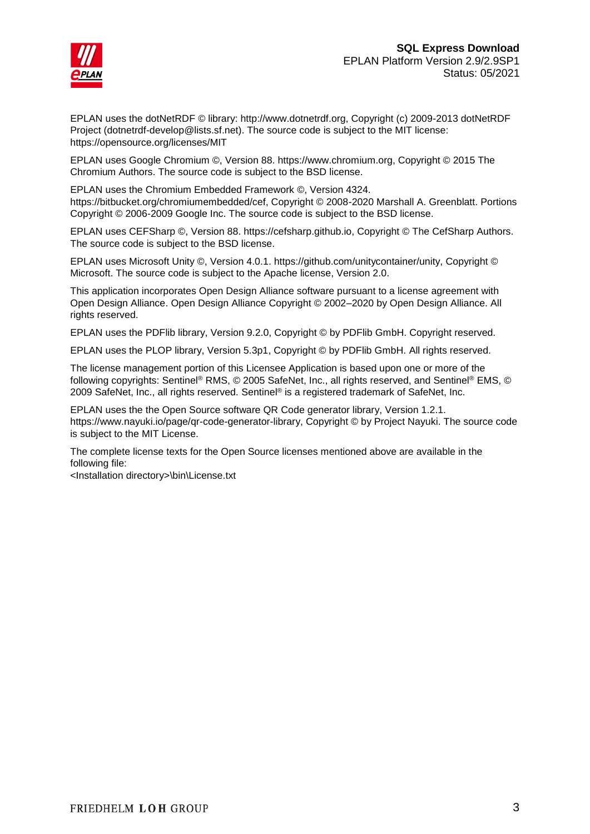

EPLAN uses the dotNetRDF © library: http://www.dotnetrdf.org, Copyright (c) 2009-2013 dotNetRDF Project (dotnetrdf-develop@lists.sf.net). The source code is subject to the MIT license: https://opensource.org/licenses/MIT

EPLAN uses Google Chromium ©, Version 88. https://www.chromium.org, Copyright © 2015 The Chromium Authors. The source code is subject to the BSD license.

EPLAN uses the Chromium Embedded Framework ©, Version 4324. https://bitbucket.org/chromiumembedded/cef, Copyright © 2008-2020 Marshall A. Greenblatt. Portions Copyright © 2006-2009 Google Inc. The source code is subject to the BSD license.

EPLAN uses CEFSharp ©, Version 88. https://cefsharp.github.io, Copyright © The CefSharp Authors. The source code is subject to the BSD license.

EPLAN uses Microsoft Unity ©, Version 4.0.1. https://github.com/unitycontainer/unity, Copyright © Microsoft. The source code is subject to the Apache license, Version 2.0.

This application incorporates Open Design Alliance software pursuant to a license agreement with Open Design Alliance. Open Design Alliance Copyright © 2002–2020 by Open Design Alliance. All rights reserved.

EPLAN uses the PDFlib library, Version 9.2.0, Copyright © by PDFlib GmbH. Copyright reserved.

EPLAN uses the PLOP library, Version 5.3p1, Copyright © by PDFlib GmbH. All rights reserved.

The license management portion of this Licensee Application is based upon one or more of the following copyrights: Sentinel® RMS, © 2005 SafeNet, Inc., all rights reserved, and Sentinel® EMS, © 2009 SafeNet, Inc., all rights reserved. Sentinel® is a registered trademark of SafeNet, Inc.

EPLAN uses the the Open Source software QR Code generator library, Version 1.2.1. https://www.nayuki.io/page/qr-code-generator-library, Copyright © by Project Nayuki. The source code is subject to the MIT License.

The complete license texts for the Open Source licenses mentioned above are available in the following file:

<Installation directory>\bin\License.txt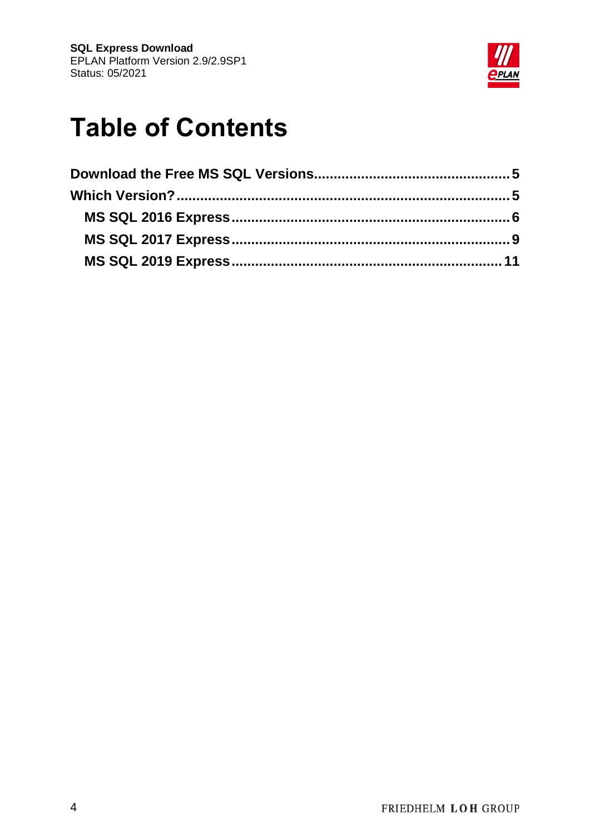

# **Table of Contents**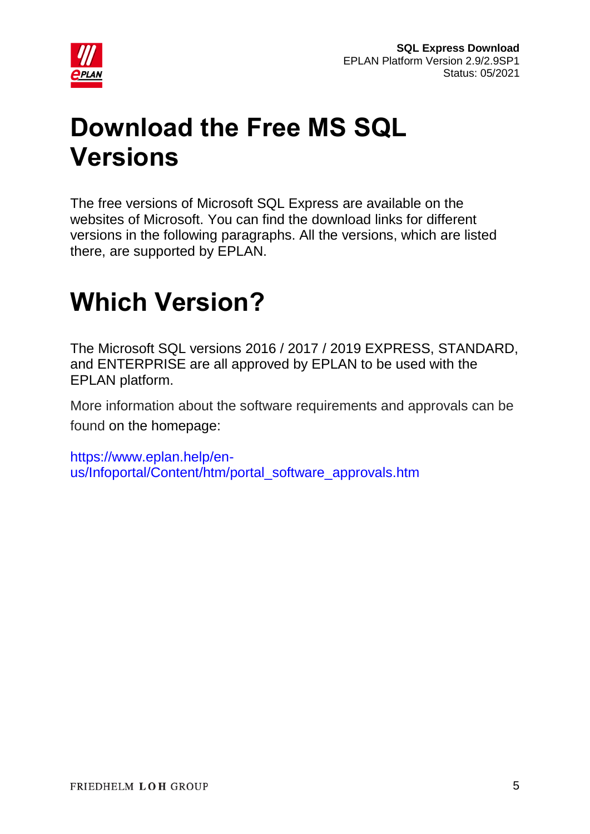

# <span id="page-4-0"></span>**Download the Free MS SQL Versions**

The free versions of Microsoft SQL Express are available on the websites of Microsoft. You can find the download links for different versions in the following paragraphs. All the versions, which are listed there, are supported by EPLAN.

## <span id="page-4-1"></span>**Which Version?**

The Microsoft SQL versions 2016 / 2017 / 2019 EXPRESS, STANDARD, and ENTERPRISE are all approved by EPLAN to be used with the EPLAN platform.

More information about the software requirements and approvals can be found on the homepage:

[https://www.eplan.help/en](https://www.eplan.help/en-us/Infoportal/Content/htm/portal_software_approvals.htm)[us/Infoportal/Content/htm/portal\\_software\\_approvals.htm](https://www.eplan.help/en-us/Infoportal/Content/htm/portal_software_approvals.htm)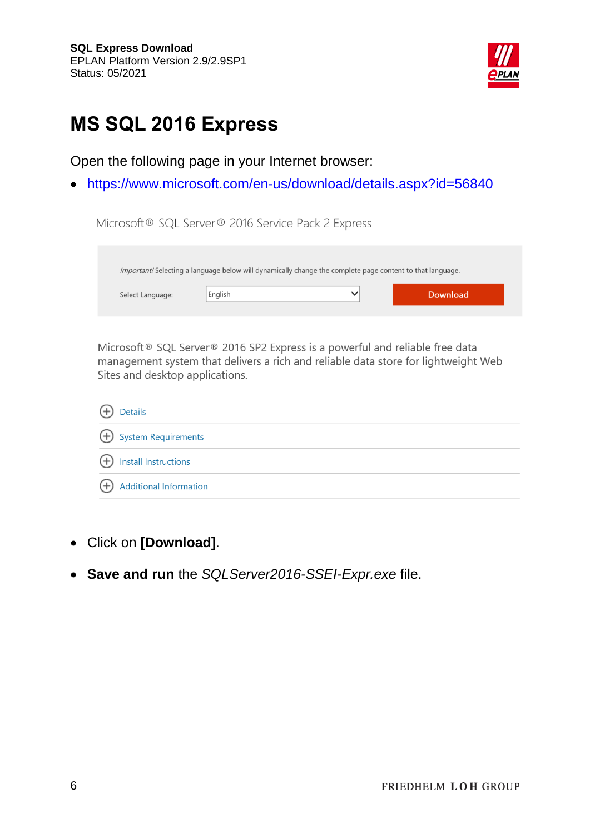

## <span id="page-5-0"></span>**MS SQL 2016 Express**

Open the following page in your Internet browser:

<https://www.microsoft.com/en-us/download/details.aspx?id=56840>

| Microsoft® SQL Server® 2016 Service Pack 2 Express |         |                                                                                                           |                 |  |
|----------------------------------------------------|---------|-----------------------------------------------------------------------------------------------------------|-----------------|--|
|                                                    |         | Important! Selecting a language below will dynamically change the complete page content to that language. |                 |  |
| Select Language:                                   | English | $\checkmark$                                                                                              | <b>Download</b> |  |

Microsoft® SQL Server® 2016 SP2 Express is a powerful and reliable free data management system that delivers a rich and reliable data store for lightweight Web Sites and desktop applications.

| (+) Details                     |
|---------------------------------|
| $\bigoplus$ System Requirements |
| (+) Install Instructions        |
| Additional Information          |

- Click on **[Download]**.
- **Save and run** the *SQLServer2016-SSEI-Expr.exe* file.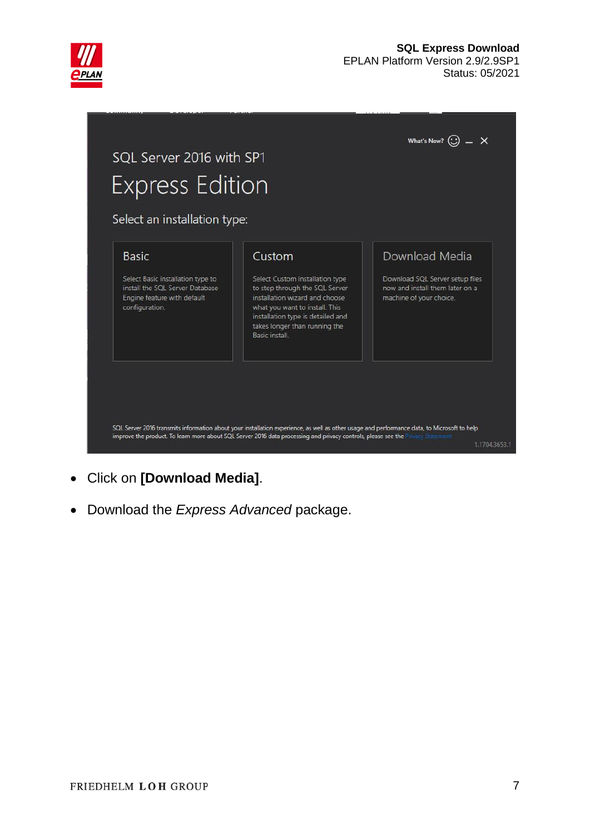

#### **SQL Express Download** EPLAN Platform Version 2.9/2.9SP1 Status: 05/2021



- Click on **[Download Media]**.
- Download the *Express Advanced* package.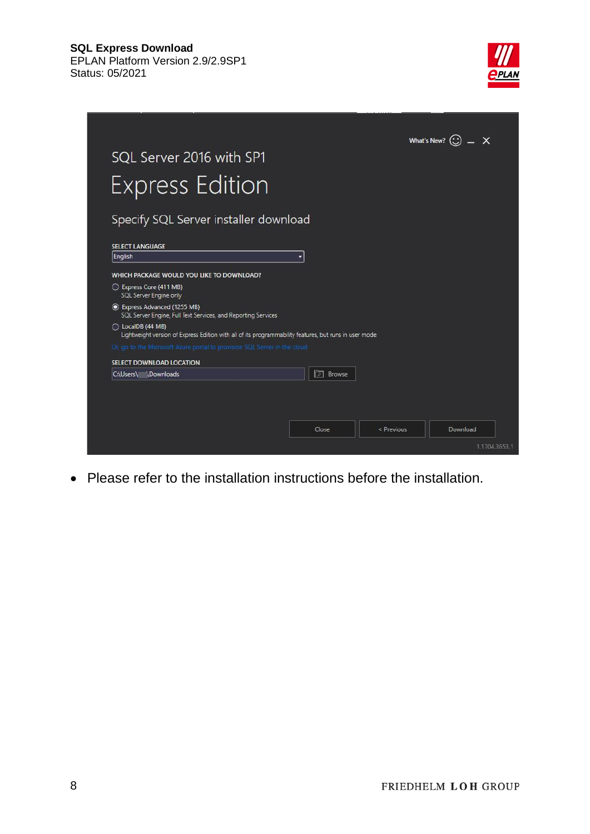



Please refer to the installation instructions before the installation.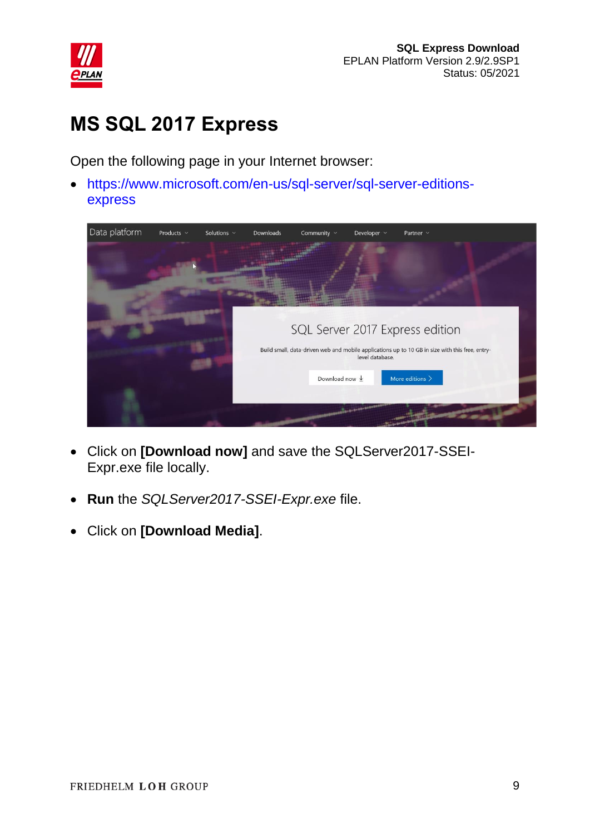

## <span id="page-8-0"></span>**MS SQL 2017 Express**

Open the following page in your Internet browser:

 [https://www.microsoft.com/en-us/sql-server/sql-server-editions](https://www.microsoft.com/en-us/sql-server/sql-server-editions-express)[express](https://www.microsoft.com/en-us/sql-server/sql-server-editions-express)



- Click on **[Download now]** and save the SQLServer2017-SSEI-Expr.exe file locally.
- **Run** the *SQLServer2017-SSEI-Expr.exe* file.
- Click on **[Download Media]**.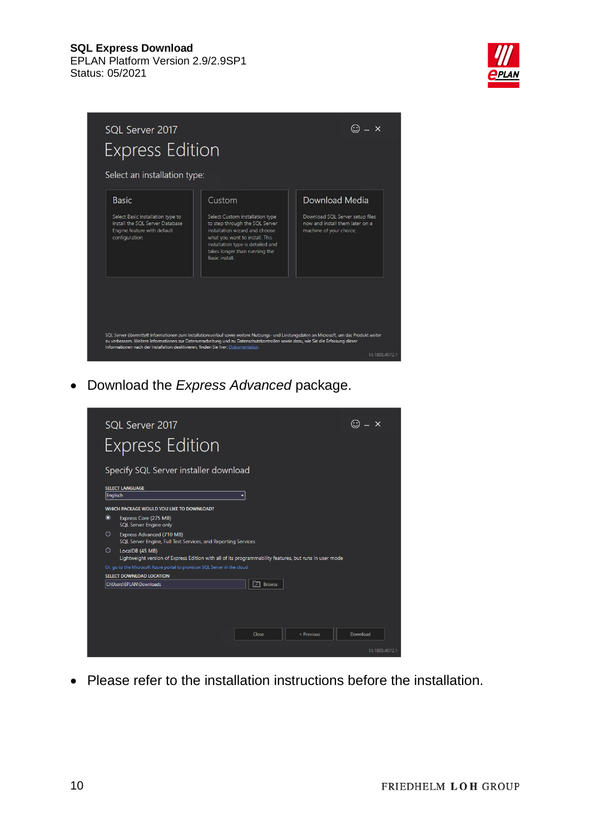



Download the *Express Advanced* package.



Please refer to the installation instructions before the installation.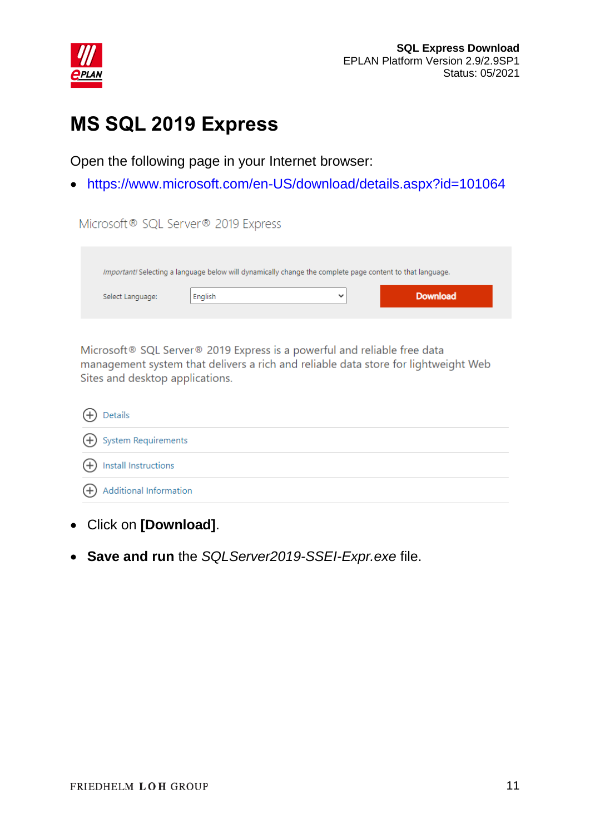

### <span id="page-10-0"></span>**MS SQL 2019 Express**

Open the following page in your Internet browser:

https://www.microsoft.com/en-US/download/details.aspx?id=101064

| Microsoft® SQL Server® 2019 Express |                                                                                                           |             |                 |  |
|-------------------------------------|-----------------------------------------------------------------------------------------------------------|-------------|-----------------|--|
|                                     | Important! Selecting a language below will dynamically change the complete page content to that language. |             |                 |  |
| Select Language:                    | English                                                                                                   | $\check{ }$ | <b>Download</b> |  |

Microsoft® SQL Server® 2019 Express is a powerful and reliable free data management system that delivers a rich and reliable data store for lightweight Web Sites and desktop applications.

| (+) Details                |
|----------------------------|
| (+) System Requirements    |
| (+) Install Instructions   |
| (+) Additional Information |

- Click on **[Download]**.
- **Save and run** the *SQLServer2019-SSEI-Expr.exe* file.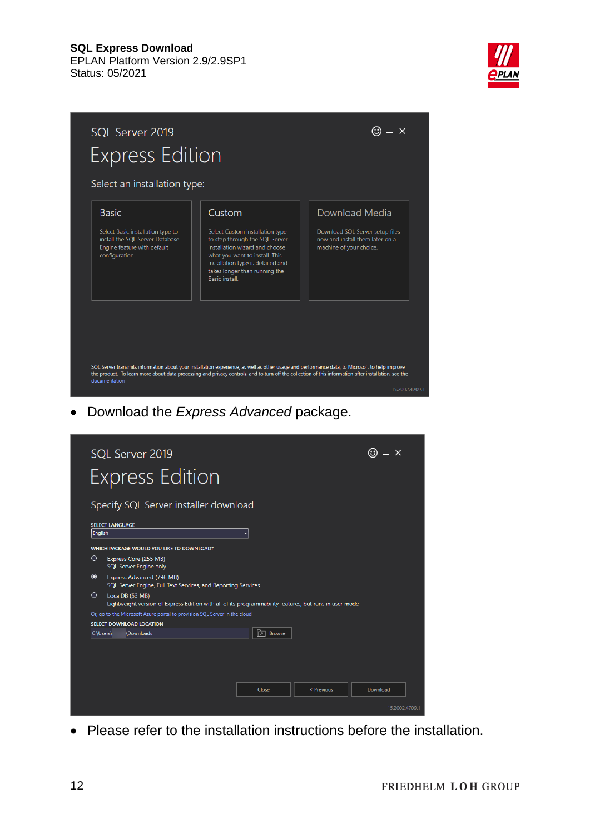



Download the *Express Advanced* package.



Please refer to the installation instructions before the installation.